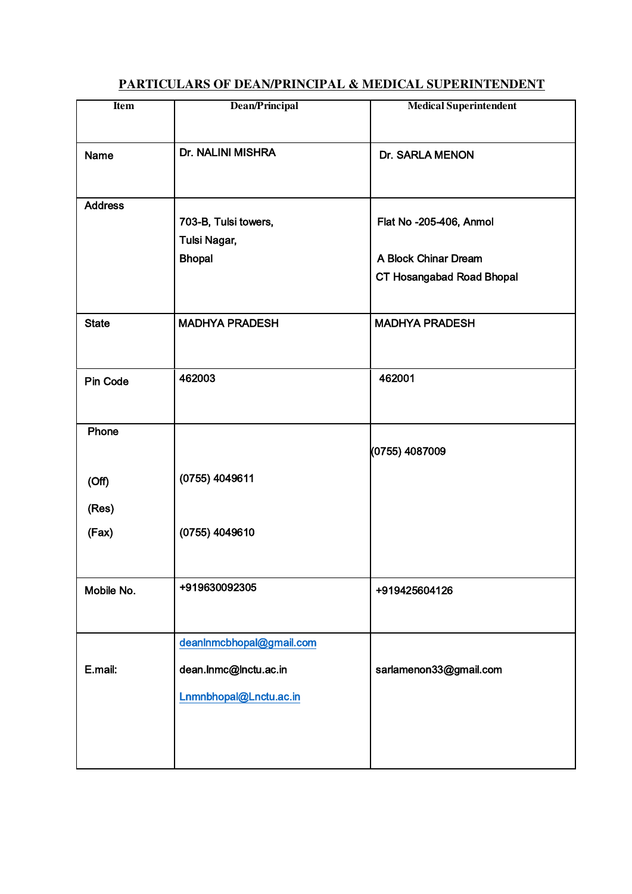# **Item Dean/Principal Medical Superintendent** Name Dr. NALINI MISHRA Dr. SARLA MENON **Address** 703-B, Tulsi towers, Flat No -205-406, Anmol Tulsi Nagar, Bhopal **A Block Chinar Dream** CT Hosangabad Road Bhopal State MADHYA PRADESH MADHYA PRADESH Pin Code 462003 462001 Phone (0755) 4049611 (0755) 4087009 (Off) (Res) (Fax) (0755) 4049610 Mobile No.  $|+919630092305$  +919630092305 E.mail: [deanlnmcbhopal@gmail.com](mailto:deanlnmcbhopal@gmail.com)  dean.lnmc@lnctu.ac.in sarlamenon33@gmail.com [Lnmnbhopal@Lnctu.ac.in](mailto:Lnmnbhopal@Lnctu.ac.in)

## **PARTICULARS OF DEAN/PRINCIPAL & MEDICAL SUPERINTENDENT**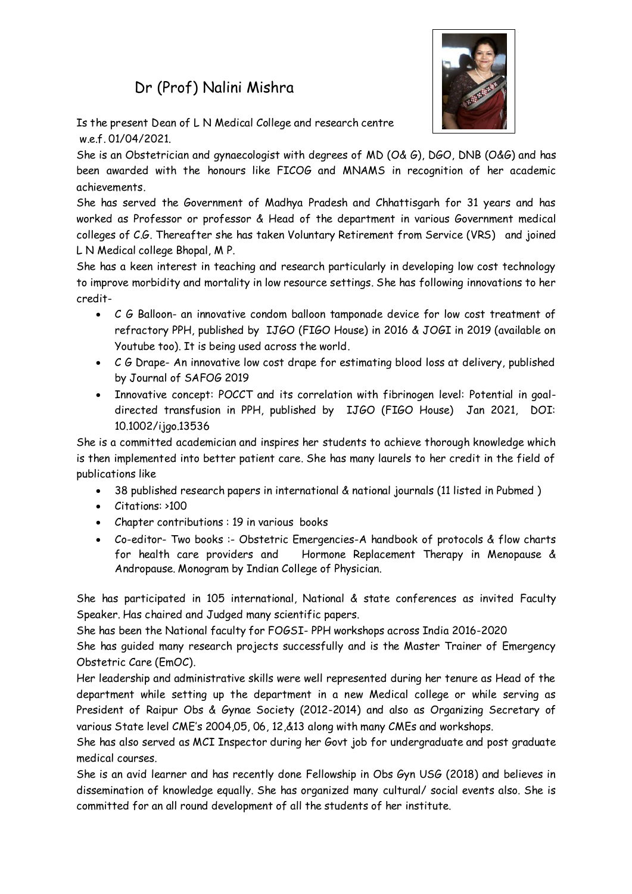## Dr (Prof) Nalini Mishra



Is the present Dean of L N Medical College and research centre w.e.f. 01/04/2021

She is an Obstetrician and gynaecologist with degrees of MD (O& G), DGO, DNB (O&G) and has been awarded with the honours like FICOG and MNAMS in recognition of her academic achievements.

She has served the Government of Madhya Pradesh and Chhattisgarh for 31 years and has worked as Professor or professor & Head of the department in various Government medical colleges of C.G. Thereafter she has taken Voluntary Retirement from Service (VRS) and joined L N Medical college Bhopal, M P.

She has a keen interest in teaching and research particularly in developing low cost technology to improve morbidity and mortality in low resource settings. She has following innovations to her credit-

- C G Balloon- an innovative condom balloon tamponade device for low cost treatment of refractory PPH, published by IJGO (FIGO House) in 2016 & JOGI in 2019 (available on Youtube too). It is being used across the world.
- C G Drape- An innovative low cost drape for estimating blood loss at delivery, published by Journal of SAFOG 2019
- Innovative concept: POCCT and its correlation with fibrinogen level: Potential in goaldirected transfusion in PPH, published by IJGO (FIGO House) Jan 2021, DOI: 10.1002/ijgo.13536

She is a committed academician and inspires her students to achieve thorough knowledge which is then implemented into better patient care. She has many laurels to her credit in the field of publications like

- 38 published research papers in international & national journals (11 listed in Pubmed )
- Citations: >100
- Chapter contributions : 19 in various books
- Co-editor- Two books :- Obstetric Emergencies-A handbook of protocols & flow charts for health care providers and Hormone Replacement Therapy in Menopause & Andropause. Monogram by Indian College of Physician.

She has participated in 105 international, National & state conferences as invited Faculty Speaker. Has chaired and Judged many scientific papers.

She has been the National faculty for FOGSI- PPH workshops across India 2016-2020

She has guided many research projects successfully and is the Master Trainer of Emergency Obstetric Care (EmOC).

Her leadership and administrative skills were well represented during her tenure as Head of the department while setting up the department in a new Medical college or while serving as President of Raipur Obs & Gynae Society (2012-2014) and also as Organizing Secretary of various State level CME's 2004,05, 06, 12,&13 along with many CMEs and workshops.

She has also served as MCI Inspector during her Govt job for undergraduate and post graduate medical courses.

She is an avid learner and has recently done Fellowship in Obs Gyn USG (2018) and believes in dissemination of knowledge equally. She has organized many cultural/ social events also. She is committed for an all round development of all the students of her institute.